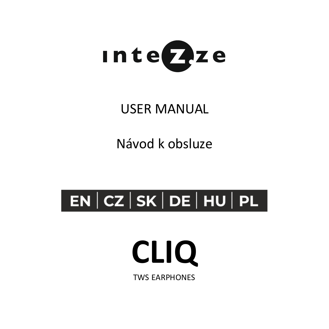

### USER MANUAL

Návod k obsluze

## $|$  EN  $|$  CZ  $|$  SK  $|$  DE  $|$  HU  $|$  PL  $|$

## **CLIQ**

TWS EARPHONES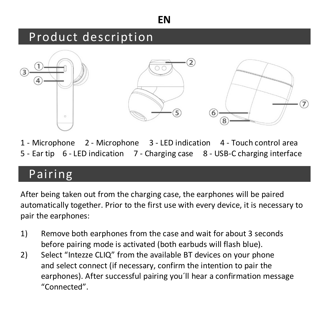### Product description



1 - Microphone 2 - Microphone 3 - LED indication 4 - Touch control area 5 - Ear tip 6 - LED indication 7 - Charging case 8 - USB-C charging interface

### Pairing

After being taken out from the charging case, the earphones will be paired automatically together. Prior to the first use with every device, it is necessary to pair the earphones:

- 1) Remove both earphones from the case and wait for about 3 seconds before pairing mode is activated (both earbuds will flash blue).
- 2) Select "Intezze CLIO" from the available BT devices on your phone and select connect (if necessary, confirm the intention to pair the earphones). After successful pairing you´ll hear a confirmation message "Connected".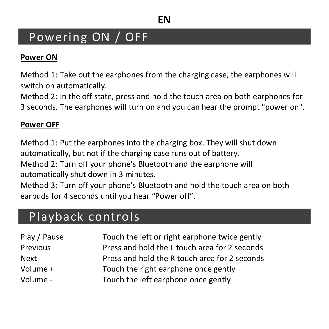### Powering ON / OFF

#### **Power ON**

Method 1: Take out the earphones from the charging case, the earphones will switch on automatically.

Method 2: In the off state, press and hold the touch area on both earphones for 3 seconds. The earphones will turn on and you can hear the prompt "power on".

#### **Power OFF**

Method 1: Put the earphones into the charging box. They will shut down automatically, but not if the charging case runs out of battery.

Method 2: Turn off your phone's Bluetooth and the earphone will automatically shut down in 3 minutes.

Method 3: Turn off your phone's Bluetooth and hold the touch area on both earbuds for 4 seconds until you hear "Power off".

### Playback controls

| Play / Pause | Touch the left or right earphone twice gently |
|--------------|-----------------------------------------------|
| Previous     | Press and hold the L touch area for 2 seconds |
| Next         | Press and hold the R touch area for 2 seconds |
| Volume +     | Touch the right earphone once gently          |
| Volume -     | Touch the left earphone once gently           |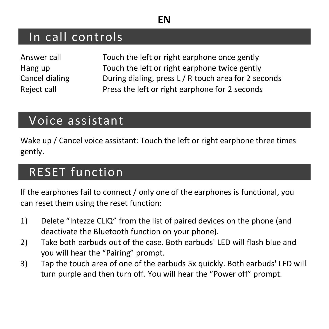### In call controls

| Answer call    |
|----------------|
| Hang up        |
| Cancel dialing |
| Reject call    |

Touch the left or right earphone once gently Touch the left or right earphone twice gently During dialing, press L / R touch area for 2 seconds Press the left or right earphone for 2 seconds

### Voice assistant

Wake up / Cancel voice assistant: Touch the left or right earphone three times gently.

### RESET function

If the earphones fail to connect / only one of the earphones is functional, you can reset them using the reset function:

- 1) Delete "Intezze CLIQ" from the list of paired devices on the phone (and deactivate the Bluetooth function on your phone).
- 2) Take both earbuds out of the case. Both earbuds' LED will flash blue and you will hear the "Pairing" prompt.
- 3) Tap the touch area of one of the earbuds 5x quickly. Both earbuds' LED will turn purple and then turn off. You will hear the "Power off" prompt.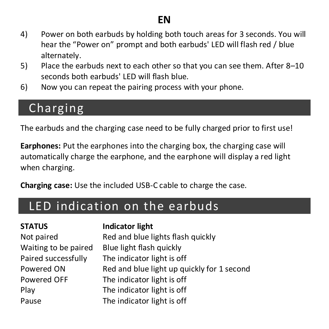- 4) Power on both earbuds by holding both touch areas for 3 seconds. You will hear the "Power on" prompt and both earbuds' LED will flash red / blue alternately.
- 5) Place the earbuds next to each other so that you can see them. After 8–10 seconds both earbuds' LED will flash blue.
- 6) Now you can repeat the pairing process with your phone.

### Charging

The earbuds and the charging case need to be fully charged prior to first use!

**Earphones:** Put the earphones into the charging box, the charging case will automatically charge the earphone, and the earphone will display a red light when charging.

**Charging case:** Use the included USB-C cable to charge the case.

### LED indication on the earbuds

#### **STATUS Indicator light**

Not paired Red and blue lights flash quickly Waiting to be paired Blue light flash quickly Paired successfully The indicator light is off Powered ON Red and blue light up quickly for 1 second Powered OFF The indicator light is off Play The indicator light is off Pause The indicator light is off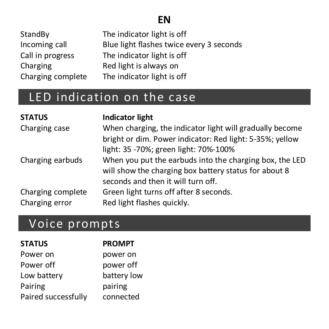| StandBv           | The indicator light is off               |
|-------------------|------------------------------------------|
| Incoming call     | Blue light flashes twice every 3 seconds |
| Call in progress  | The indicator light is off               |
| Charging          | Red light is always on                   |
| Charging complete | The indicator light is off               |

### LED indication on the case

| <b>STATUS</b>     | <b>Indicator light</b>                                   |
|-------------------|----------------------------------------------------------|
| Charging case     | When charging, the indicator light will gradually become |
|                   | bright or dim. Power indicator: Red light: 5-35%: vellow |
|                   | light: 35 -70%; green light: 70%-100%                    |
| Charging earbuds  | When you put the earbuds into the charging box, the LED  |
|                   | will show the charging box battery status for about 8    |
|                   | seconds and then it will turn off.                       |
| Charging complete | Green light turns off after 8 seconds.                   |
| Charging error    | Red light flashes quickly.                               |

### Voice prompts

| <b>STATUS</b>       | <b>PROMPT</b> |
|---------------------|---------------|
| Power on            | power on      |
| Power off           | power off     |
| Low battery         | battery low   |
| Pairing             | pairing       |
| Paired successfully | connected     |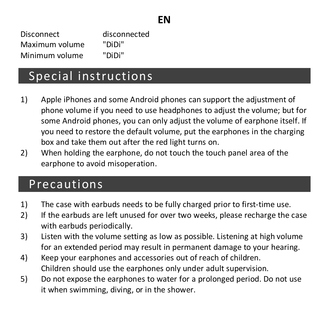Disconnect disconnected Maximum volume "DiDi" Minimum volume "DiDi"

### Special instructions

- 1) Apple iPhones and some Android phones can support the adjustment of phone volume if you need to use headphones to adjust the volume; but for some Android phones, you can only adjust the volume of earphone itself. If you need to restore the default volume, put the earphones in the charging box and take them out after the red light turns on.
- 2) When holding the earphone, do not touch the touch panel area of the earphone to avoid misoperation.

### Precautions

- 1) The case with earbuds needs to be fully charged prior to first-time use.
- 2) If the earbuds are left unused for over two weeks, please recharge the case with earbuds periodically.
- 3) Listen with the volume setting as low as possible. Listening at high volume for an extended period may result in permanent damage to your hearing.
- 4) Keep your earphones and accessories out of reach of children. Children should use the earphones only under adult supervision.
- 5) Do not expose the earphones to water for a prolonged period. Do not use it when swimming, diving, or in the shower.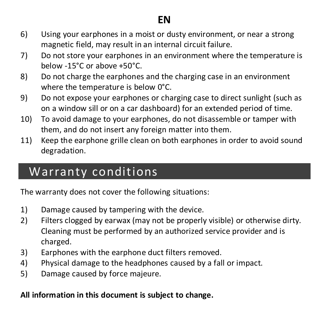- 6) Using your earphones in a moist or dusty environment, or near a strong magnetic field, may result in an internal circuit failure.
- 7) Do not store your earphones in an environment where the temperature is below -15°C or above +50°C.
- 8) Do not charge the earphones and the charging case in an environment where the temperature is below 0°C.
- 9) Do not expose your earphones or charging case to direct sunlight (such as on a window sill or on a car dashboard) for an extended period of time.
- 10) To avoid damage to your earphones, do not disassemble or tamper with them, and do not insert any foreign matter into them.
- 11) Keep the earphone grille clean on both earphones in order to avoid sound degradation.

### Warranty conditions

The warranty does not cover the following situations:

- 1) Damage caused by tampering with the device.
- 2) Filters clogged by earwax (may not be properly visible) or otherwise dirty. Cleaning must be performed by an authorized service provider and is charged.
- 3) Earphones with the earphone duct filters removed.
- 4) Physical damage to the headphones caused by a fall or impact.
- 5) Damage caused by force majeure.

**All information in this document is subject to change.**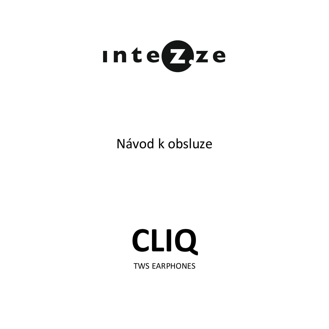

### Návod k obsluze

# **CLIQ**

TWS EARPHONES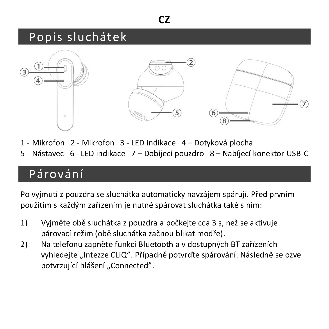### Popis sluchátek



- 1 Mikrofon 2 Mikrofon 3 LED indikace 4 Dotyková plocha
- 5 Nástavec 6 LED indikace 7 Dobíjecí pouzdro 8 Nabíjecí konektor USB-C

### Párování

Po vyjmutí z pouzdra se sluchátka automaticky navzájem spárují. Před prvním použitím s každým zařízením je nutné spárovat sluchátka také s ním:

- 1) Vyjměte obě sluchátka z pouzdra a počkejte cca 3 s, než se aktivuje párovací režim (obě sluchátka začnou blikat modře).
- 2) Na telefonu zapněte funkci Bluetooth a v dostupných BT zařízeních vyhledejte "Intezze CLIQ". Případně potvrďte spárování. Následně se ozve potvrzující hlášení "Connected".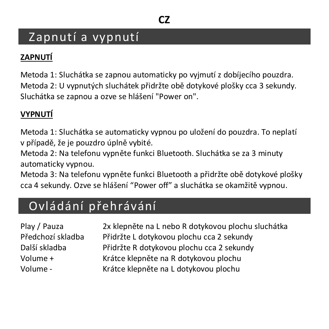### Zapnutí a vypnutí

#### **ZAPNUTÍ**

Metoda 1: Sluchátka se zapnou automaticky po vyjmutí z dobíjecího pouzdra. Metoda 2: U vypnutých sluchátek přidržte obě dotykové plošky cca 3 sekundy. Sluchátka se zapnou a ozve se hlášení "Power on".

#### **VYPNUTÍ**

Metoda 1: Sluchátka se automaticky vypnou po uložení do pouzdra. To neplatí v případě, že je pouzdro úplně vybité.

Metoda 2: Na telefonu vypněte funkci Bluetooth. Sluchátka se za 3 minuty automaticky vypnou.

Metoda 3: Na telefonu vypněte funkci Bluetooth a přidržte obě dotykové plošky cca 4 sekundy. Ozve se hlášení "Power off" a sluchátka se okamžitě vypnou.

### Ovládání přehrávání

| Play / Pauza      |
|-------------------|
| Předchozí skladba |
| Další skladba     |
| Volume +          |
| Volume -          |

2x klepněte na L nebo R dotykovou plochu sluchátka Přidržte L dotykovou plochu cca 2 sekundy Přidržte R dotykovou plochu cca 2 sekundy Krátce klepněte na R dotykovou plochu Krátce klepněte na L dotykovou plochu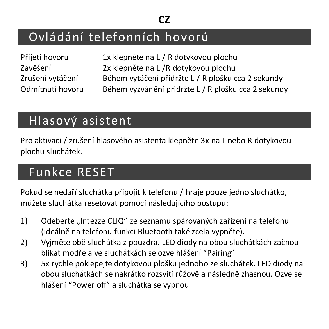### Ovládání telefonních hovorů

| Přijetí hovoru   |
|------------------|
| Zavěšení         |
| Zrušení vytáčení |
| Odmítnutí hovoru |

1x klepněte na L / R dotykovou plochu 2x klepněte na L /R dotykovou plochu Během vytáčení přidržte L / R plošku cca 2 sekundy Během vyzvánění přidržte L / R plošku cca 2 sekundy

### Hlasový asistent

Pro aktivaci / zrušení hlasového asistenta klepněte 3x na L nebo R dotykovou plochu sluchátek.

### Funkce RESET

Pokud se nedaří sluchátka připojit k telefonu / hraje pouze jedno sluchátko, můžete sluchátka resetovat pomocí následujícího postupu:

- 1) Odeberte "Intezze CLIQ" ze seznamu spárovaných zařízení na telefonu (ideálně na telefonu funkci Bluetooth také zcela vypněte).
- 2) Vyjměte obě sluchátka z pouzdra. LED diody na obou sluchátkách začnou blikat modře a ve sluchátkách se ozve hlášení "Pairing".
- 3) 5x rychle poklepejte dotykovou plošku jednoho ze sluchátek. LED diody na obou sluchátkách se nakrátko rozsvítí růžově a následně zhasnou. Ozve se hlášení "Power off" a sluchátka se vypnou.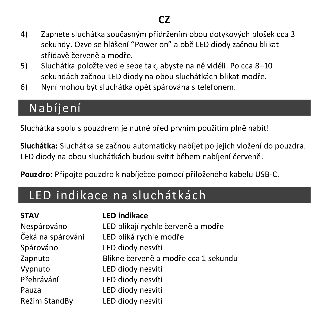- 4) Zapněte sluchátka současným přidržením obou dotykových plošek cca 3 sekundy. Ozve se hlášení "Power on" a obě LED diody začnou blikat střídavě červeně a modře.
- 5) Sluchátka položte vedle sebe tak, abyste na ně viděli. Po cca 8–10 sekundách začnou LED diody na obou sluchátkách blikat modře.
- 6) Nyní mohou být sluchátka opět spárována s telefonem.

### Nabíjení

Sluchátka spolu s pouzdrem je nutné před prvním použitím plně nabít!

**Sluchátka:** Sluchátka se začnou automaticky nabíjet po jejich vložení do pouzdra. LED diody na obou sluchátkách budou svítit během nabíjení červeně.

**Pouzdro:** Připojte pouzdro k nabíječce pomocí přiloženého kabelu USB-C.

### LED indikace na sluchátkách

| <b>STAV</b>       | <b>LED indikace</b>                  |
|-------------------|--------------------------------------|
| Nespárováno       | LED blikají rychle červeně a modře   |
| Čeká na spárování | LED bliká rychle modře               |
| Spárováno         | LED diody nesvítí                    |
| Zapnuto           | Blikne červeně a modře cca 1 sekundu |
| Vypnuto           | LED diody nesvítí                    |
| Přehrávání        | LED diody nesvítí                    |
| Pauza             | LED diody nesvítí                    |
| Režim StandBy     | LED diody nesvítí                    |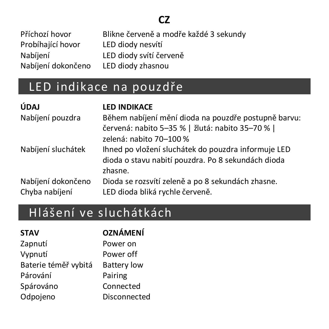| Příchozí hovor     | Blikne červeně a modře každé 3 sekundy |
|--------------------|----------------------------------------|
| Probíhající hovor  | LED diody nesvítí                      |
| Nabíiení           | LED diody svítí červeně                |
| Nabíjení dokončeno | LED diody zhasnou                      |

### LED indikace na pouzdře

| ÚDAJ               | <b>LED INDIKACE</b>                                           |
|--------------------|---------------------------------------------------------------|
| Nabíjení pouzdra   | Během nabíjení mění dioda na pouzdře postupně barvu:          |
|                    | červená: nabito 5-35 %   žlutá: nabito 35-70 %                |
|                    | zelená: nabito 70-100 %                                       |
| Nabíjení sluchátek | Ihned po vložení sluchátek do pouzdra informuje LED           |
|                    | dioda o stavu nabití pouzdra. Po 8 sekundách dioda<br>zhasne. |
| Nabíjení dokončeno | Dioda se rozsvítí zeleně a po 8 sekundách zhasne.             |
| Chyba nabíjení     | LED dioda bliká rychle červeně.                               |

### Hlášení ve sluchátkách

| <b>STAV</b>          | OZNÁMENÍ           |
|----------------------|--------------------|
| Zapnutí              | Power on           |
| Vypnutí              | Power off          |
| Baterie téměř vybitá | <b>Battery low</b> |
| Párování             | Pairing            |
| Spárováno            | Connected          |
| Odpojeno             | Disconnected       |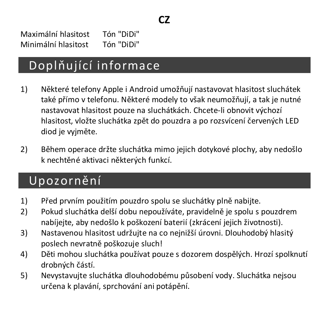Maximální hlasitost Tón "DiDi" Minimální hlasitost Tón "DiDi"

### Doplňující informace

- 1) Některé telefony Apple i Android umožňují nastavovat hlasitost sluchátek také přímo v telefonu. Některé modely to však neumožňují, a tak je nutné nastavovat hlasitost pouze na sluchátkách. Chcete-li obnovit výchozí hlasitost, vložte sluchátka zpět do pouzdra a po rozsvícení červených LED diod je vyjměte.
- 2) Během operace držte sluchátka mimo jejich dotykové plochy, aby nedošlo k nechtěné aktivaci některých funkcí.

### Upozornění

- 1) Před prvním použitím pouzdro spolu se sluchátky plně nabijte.
- 2) Pokud sluchátka delší dobu nepoužíváte, pravidelně je spolu s pouzdrem nabíjejte, aby nedošlo k poškození baterií (zkrácení jejich životnosti).
- 3) Nastavenou hlasitost udržujte na co nejnižší úrovni. Dlouhodobý hlasitý poslech nevratně poškozuje sluch!
- 4) Děti mohou sluchátka používat pouze s dozorem dospělých. Hrozí spolknutí drobných částí.
- 5) Nevystavujte sluchátka dlouhodobému působení vody. Sluchátka nejsou určena k plavání, sprchování ani potápění.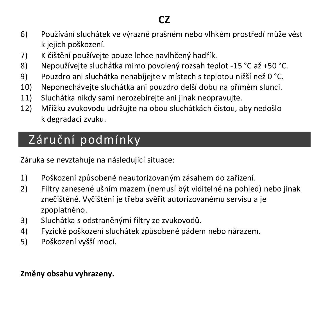- 6) Používání sluchátek ve výrazně prašném nebo vlhkém prostředí může vést k jejich poškození.
- 7) K čištění používejte pouze lehce navlhčený hadřík.
- 8) Nepoužívejte sluchátka mimo povolený rozsah teplot -15 °C až +50 °C.
- 9) Pouzdro ani sluchátka nenabíjejte v místech s teplotou nižší než 0 °C.
- 10) Neponechávejte sluchátka ani pouzdro delší dobu na přímém slunci.
- 11) Sluchátka nikdy sami nerozebírejte ani jinak neopravujte.
- 12) Mřížku zvukovodu udržujte na obou sluchátkách čistou, aby nedošlo k degradaci zvuku.

### Záruční podmínky

Záruka se nevztahuje na následující situace:

- 1) Poškození způsobené neautorizovaným zásahem do zařízení.
- 2) Filtry zanesené ušním mazem (nemusí být viditelné na pohled) nebo jinak znečištěné. Vyčištění je třeba svěřit autorizovanému servisu a je zpoplatněno.
- 3) Sluchátka s odstraněnými filtry ze zvukovodů.
- 4) Fyzické poškození sluchátek způsobené pádem nebo nárazem.
- 5) Poškození vyšší mocí.

#### **Změny obsahu vyhrazeny.**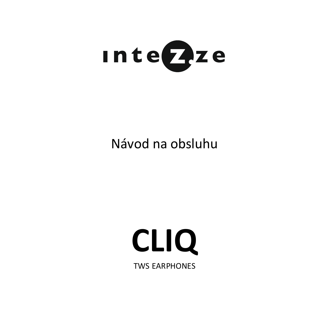

### Návod na obsluhu

# **CLIQ**

TWS EARPHONES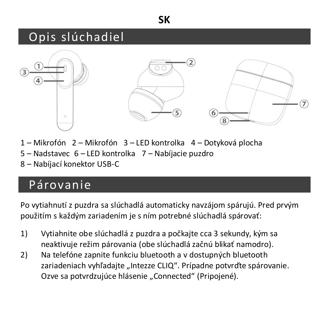#### **SK**

### Opis slúchadiel



- 1 Mikrofón 2 Mikrofón 3 LED kontrolka 4 Dotyková plocha
- 5 Nadstavec 6 LED kontrolka 7 Nabíjacie puzdro
- 8 Nabíjací konektor USB-C

### Párovanie

Po vytiahnutí z puzdra sa slúchadlá automaticky navzájom spárujú. Pred prvým použitím s každým zariadením je s ním potrebné slúchadlá spárovať:

- 1) Vytiahnite obe slúchadlá z puzdra a počkajte cca 3 sekundy, kým sa neaktivuje režim párovania (obe slúchadlá začnú blikať namodro).
- 2) Na telefóne zapnite funkciu bluetooth a v dostupných bluetooth zariadeniach vyhľadajte "Intezze CLIO". Prípadne potvrďte spárovanie. Ozve sa potvrdzujúce hlásenie "Connected" (Pripojené).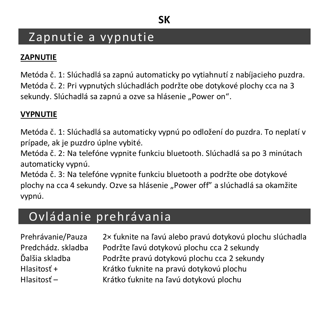### Zapnutie a vypnutie

#### **ZAPNUTIE**

Metóda č. 1: Slúchadlá sa zapnú automaticky po vytiahnutí z nabíjacieho puzdra. Metóda č. 2: Pri vypnutých slúchadlách podržte obe dotykové plochy cca na 3 sekundy. Slúchadlá sa zapnú a ozve sa hlásenie "Power on".

#### **VYPNUTIE**

Metóda č. 1: Slúchadlá sa automaticky vypnú po odložení do puzdra. To neplatí v prípade, ak je puzdro úplne vybité.

Metóda č. 2: Na telefóne vypnite funkciu bluetooth. Slúchadlá sa po 3 minútach automaticky vypnú.

Metóda č. 3: Na telefóne vypnite funkciu bluetooth a podržte obe dotykové plochy na cca 4 sekundy. Ozve sa hlásenie "Power off" a slúchadlá sa okamžite vypnú.

### Ovládanie prehrávania

Prehrávanie/Pauza 2× ťuknite na ľavú alebo pravú dotykovú plochu slúchadla Predchádz. skladba Podržte ľavú dotykovú plochu cca 2 sekundy Ďalšia skladba Podržte pravú dotykovú plochu cca 2 sekundy Hlasitosť + Krátko ťuknite na pravú dotykovú plochu Hlasitosť – Krátko ťuknite na ľavú dotykovú plochu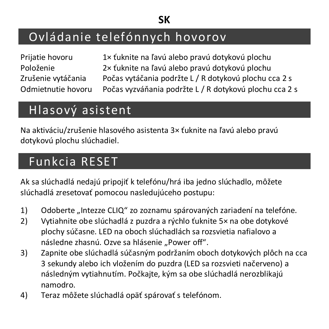#### **SK**

### Ovládanie telefónnych hovorov

| Prijatie hovoru    |  |
|--------------------|--|
| Položenie          |  |
| Zrušenie vytáčania |  |
| Odmietnutie hovoru |  |

1× ťuknite na ľavú alebo pravú dotykovú plochu 2× ťuknite na ľavú alebo pravú dotykovú plochu Počas vytáčania podržte L / R dotykovú plochu cca 2 s Počas vyzváňania podržte L / R dotykovú plochu cca 2 s

### Hlasový asistent

Na aktiváciu/zrušenie hlasového asistenta 3× ťuknite na ľavú alebo pravú dotykovú plochu slúchadiel.

### Funkcia RESET

Ak sa slúchadlá nedajú pripojiť k telefónu/hrá iba jedno slúchadlo, môžete slúchadlá zresetovať pomocou nasledujúceho postupu:

- 1) Odoberte "Intezze CLIQ" zo zoznamu spárovaných zariadení na telefóne.
- 2) Vytiahnite obe slúchadlá z puzdra a rýchlo ťuknite 5× na obe dotykové plochy súčasne. LED na oboch slúchadlách sa rozsvietia nafialovo a následne zhasnú. Ozve sa hlásenie "Power off".
- 3) Zapnite obe slúchadlá súčasným podržaním oboch dotykových plôch na cca 3 sekundy alebo ich vložením do puzdra (LED sa rozsvieti načerveno) a následným vytiahnutím. Počkajte, kým sa obe slúchadlá nerozblikajú namodro.
- 4) Teraz môžete slúchadlá opäť spárovať s telefónom.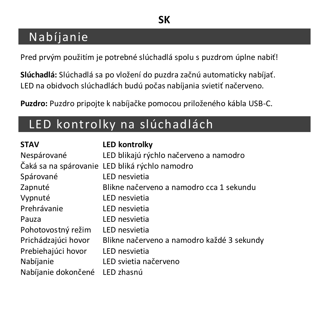### Nabíjanie

Pred prvým použitím je potrebné slúchadlá spolu s puzdrom úplne nabiť!

**Slúchadlá:** Slúchadlá sa po vložení do puzdra začnú automaticky nabíjať. LED na obidvoch slúchadlách budú počas nabíjania svietiť načerveno.

**Puzdro:** Puzdro pripojte k nabíjačke pomocou priloženého kábla USB-C.

### LED kontrolky na slúchadlách

| <b>STAV</b>         | <b>LED kontrolky</b>                           |
|---------------------|------------------------------------------------|
| Nespárované         | LED blikajú rýchlo načerveno a namodro         |
|                     | Čaká sa na spárovanie LED bliká rýchlo namodro |
| Spárované           | LED nesvietia                                  |
| Zapnuté             | Blikne načerveno a namodro cca 1 sekundu       |
| Vypnuté             | LED nesvietia                                  |
| Prehrávanie         | LED nesvietia                                  |
| Pauza               | LED nesvietia                                  |
| Pohotovostný režim  | LED nesvietia                                  |
| Prichádzajúci hovor | Blikne načerveno a namodro každé 3 sekundy     |
| Prebiehajúci hovor  | LED nesvietia                                  |
| Nabíjanie           | LED svietia načerveno                          |
| Nabíjanie dokončené | LED zhasnú                                     |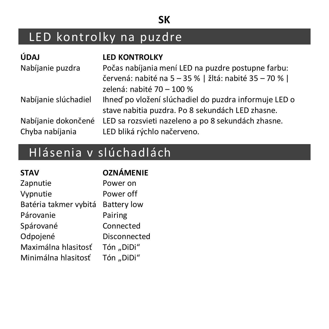#### **SK**

## LED kontrolky na puzdre

| ÚDAJ                 | <b>LED KONTROLKY</b>                                                                                       |
|----------------------|------------------------------------------------------------------------------------------------------------|
| Nabíjanie puzdra     | Počas nabíjania mení LED na puzdre postupne farbu:<br>červená: nabité na 5 - 35 %   žltá: nabité 35 - 70 % |
|                      | zelená: nabité 70 - 100 %                                                                                  |
| Nabíjanie slúchadiel | Ihneď po vložení slúchadiel do puzdra informuje LED o<br>stave nabitia puzdra. Po 8 sekundách LED zhasne.  |
| Nabíjanie dokončené  | LED sa rozsvieti nazeleno a po 8 sekundách zhasne.                                                         |
| Chyba nabíjania      | LED bliká rýchlo načerveno.                                                                                |

### Hlásenia v slúchadlách

| <b>STAV</b>           | <b>OZNÁMENIE</b>   |
|-----------------------|--------------------|
| Zapnutie              | Power on           |
| Vypnutie              | Power off          |
| Batéria takmer vybitá | <b>Battery low</b> |
| Párovanie             | Pairing            |
| Spárované             | Connected          |
| Odpoiené              | Disconnected       |
| Maximálna hlasitosť   | Tón "DiDi"         |
| Minimálna hlasitosť   | Tón "DiDi"         |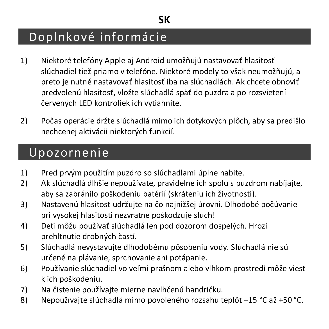### Doplnkové informácie

- 1) Niektoré telefóny Apple aj Android umožňujú nastavovať hlasitosť slúchadiel tiež priamo v telefóne. Niektoré modely to však neumožňujú, a preto je nutné nastavovať hlasitosť iba na slúchadlách. Ak chcete obnoviť predvolenú hlasitosť, vložte slúchadlá späť do puzdra a po rozsvietení červených LED kontroliek ich vytiahnite.
- 2) Počas operácie držte slúchadlá mimo ich dotykových plôch, aby sa predišlo nechcenej aktivácii niektorých funkcií.

### Upozornenie

- 1) Pred prvým použitím puzdro so slúchadlami úplne nabite.
- 2) Ak slúchadlá dlhšie nepoužívate, pravidelne ich spolu s puzdrom nabíjajte, aby sa zabránilo poškodeniu batérií (skráteniu ich životnosti).
- 3) Nastavenú hlasitosť udržujte na čo najnižšej úrovni. Dlhodobé počúvanie pri vysokej hlasitosti nezvratne poškodzuje sluch!
- 4) Deti môžu používať slúchadlá len pod dozorom dospelých. Hrozí prehltnutie drobných častí.
- 5) Slúchadlá nevystavujte dlhodobému pôsobeniu vody. Slúchadlá nie sú určené na plávanie, sprchovanie ani potápanie.
- 6) Používanie slúchadiel vo veľmi prašnom alebo vlhkom prostredí môže viesť k ich poškodeniu.
- 7) Na čistenie používajte mierne navlhčenú handričku.
- 8) Nepoužívajte slúchadlá mimo povoleného rozsahu teplôt −15 °C až +50 °C.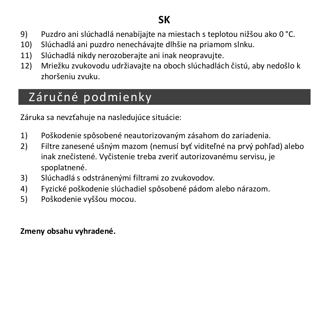#### **SK**

- 9) Puzdro ani slúchadlá nenabíjajte na miestach s teplotou nižšou ako 0 °C.
- 10) Slúchadlá ani puzdro nenechávajte dlhšie na priamom slnku.
- 11) Slúchadlá nikdy nerozoberajte ani inak neopravujte.
- 12) Mriežku zvukovodu udržiavajte na oboch slúchadlách čistú, aby nedošlo k zhoršeniu zvuku.

### Záručné podmienky

Záruka sa nevzťahuje na nasledujúce situácie:

- 1) Poškodenie spôsobené neautorizovaným zásahom do zariadenia.
- 2) Filtre zanesené ušným mazom (nemusí byť viditeľné na prvý pohľad) alebo inak znečistené. Vyčistenie treba zveriť autorizovanému servisu, je spoplatnené.
- 3) Slúchadlá s odstránenými filtrami zo zvukovodov.
- 4) Fyzické poškodenie slúchadiel spôsobené pádom alebo nárazom.
- 5) Poškodenie vyššou mocou.

#### **Zmeny obsahu vyhradené.**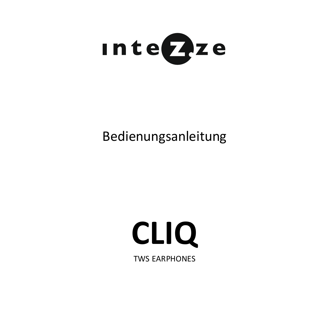

### Bedienungsanleitung

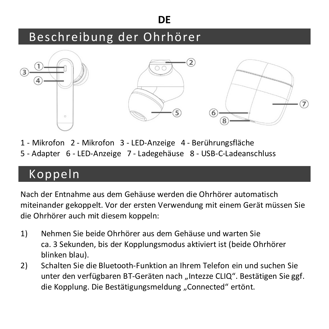#### **DE**

### Beschreibung der Ohrhörer



- 1 Mikrofon 2 Mikrofon 3 LED-Anzeige 4 Berührungsfläche
- 5 Adapter 6 LED-Anzeige 7 Ladegehäuse 8 USB-C-Ladeanschluss

### Koppeln

Nach der Entnahme aus dem Gehäuse werden die Ohrhörer automatisch miteinander gekoppelt. Vor der ersten Verwendung mit einem Gerät müssen Sie die Ohrhörer auch mit diesem koppeln:

- 1) Nehmen Sie beide Ohrhörer aus dem Gehäuse und warten Sie ca. 3 Sekunden, bis der Kopplungsmodus aktiviert ist (beide Ohrhörer blinken blau).
- 2) Schalten Sie die Bluetooth-Funktion an Ihrem Telefon ein und suchen Sie unter den verfügbaren BT-Geräten nach "Intezze CLIQ". Bestätigen Sie ggf. die Kopplung. Die Bestätigungsmeldung "Connected" ertönt.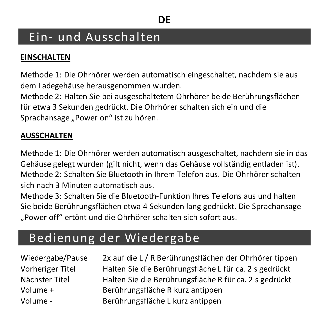### Ein- und Ausschalten

#### **EINSCHALTEN**

Methode 1: Die Ohrhörer werden automatisch eingeschaltet, nachdem sie aus dem Ladegehäuse herausgenommen wurden.

Methode 2: Halten Sie bei ausgeschaltetem Ohrhörer beide Berührungsflächen für etwa 3 Sekunden gedrückt. Die Ohrhörer schalten sich ein und die Sprachansage "Power on" ist zu hören.

#### **AUSSCHALTEN**

Methode 1: Die Ohrhörer werden automatisch ausgeschaltet, nachdem sie in das Gehäuse gelegt wurden (gilt nicht, wenn das Gehäuse vollständig entladen ist). Methode 2: Schalten Sie Bluetooth in Ihrem Telefon aus. Die Ohrhörer schalten sich nach 3 Minuten automatisch aus.

Methode 3: Schalten Sie die Bluetooth-Funktion Ihres Telefons aus und halten Sie beide Berührungsflächen etwa 4 Sekunden lang gedrückt. Die Sprachansage "Power off" ertönt und die Ohrhörer schalten sich sofort aus.

### Bedienung der Wiedergabe

Wiedergabe/Pause 2x auf die L / R Berührungsflächen der Ohrhörer tippen Vorheriger Titel Halten Sie die Berührungsfläche L für ca. 2 s gedrückt Nächster Titel Halten Sie die Berührungsfläche R für ca. 2 s gedrückt Volume + Berührungsfläche R kurz antippen Volume - Berührungsfläche L kurz antippen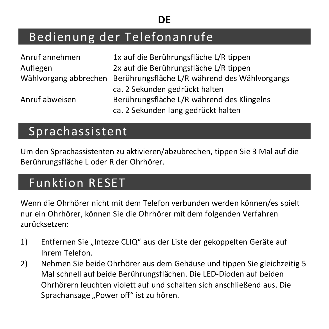#### **DE**

### Bedienung der Telefonanrufe

| Anruf annehmen | 1x auf die Berührungsfläche L/R tippen                              |
|----------------|---------------------------------------------------------------------|
| Auflegen       | 2x auf die Berührungsfläche L/R tippen                              |
|                | Wählvorgang abbrechen Berührungsfläche L/R während des Wählvorgangs |
|                | ca. 2 Sekunden gedrückt halten                                      |
| Anruf abweisen | Berührungsfläche L/R während des Klingelns                          |
|                | ca. 2 Sekunden lang gedrückt halten                                 |

### Sprachassistent

Um den Sprachassistenten zu aktivieren/abzubrechen, tippen Sie 3 Mal auf die Berührungsfläche L oder R der Ohrhörer.

### Funktion RESET

Wenn die Ohrhörer nicht mit dem Telefon verbunden werden können/es spielt nur ein Ohrhörer, können Sie die Ohrhörer mit dem folgenden Verfahren zurücksetzen:

- 1) Entfernen Sie "Intezze CLIO" aus der Liste der gekoppelten Geräte auf Ihrem Telefon.
- 2) Nehmen Sie beide Ohrhörer aus dem Gehäuse und tippen Sie gleichzeitig 5 Mal schnell auf beide Berührungsflächen. Die LED-Dioden auf beiden Ohrhörern leuchten violett auf und schalten sich anschließend aus. Die Sprachansage "Power off" ist zu hören.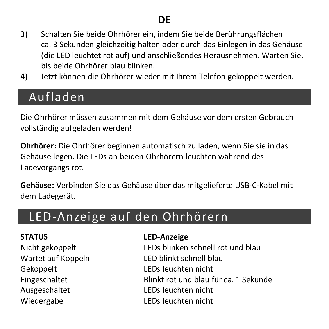- 3) Schalten Sie beide Ohrhörer ein, indem Sie beide Berührungsflächen ca. 3 Sekunden gleichzeitig halten oder durch das Einlegen in das Gehäuse (die LED leuchtet rot auf) und anschließendes Herausnehmen. Warten Sie, bis beide Ohrhörer blau blinken.
- 4) Jetzt können die Ohrhörer wieder mit Ihrem Telefon gekoppelt werden.

### Aufladen

Die Ohrhörer müssen zusammen mit dem Gehäuse vor dem ersten Gebrauch vollständig aufgeladen werden!

**Ohrhörer:** Die Ohrhörer beginnen automatisch zu laden, wenn Sie sie in das Gehäuse legen. Die LEDs an beiden Ohrhörern leuchten während des Ladevorgangs rot.

**Gehäuse:** Verbinden Sie das Gehäuse über das mitgelieferte USB-C-Kabel mit dem Ladegerät.

### LED-Anzeige auf den Ohrhörern

Gekoppelt LEDs leuchten nicht Ausgeschaltet LEDs leuchten nicht Wiedergabe LEDs leuchten nicht

#### **STATUS LED-Anzeige**

Nicht gekoppelt LEDs blinken schnell rot und blau Wartet auf Koppeln LED blinkt schnell blau Eingeschaltet Blinkt rot und blau für ca. 1 Sekunde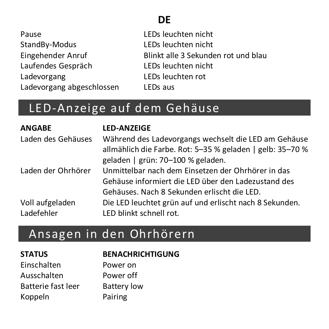### **DE**

| Pause                     |
|---------------------------|
| StandBy-Modus             |
| Eingehender Anruf         |
| Laufendes Gespräch        |
| Ladevorgang               |
| Ladevorgang abgeschlossen |

Pause LEDs leuchten nicht StandBy-Modus LEDs leuchten nicht Eingehender Anruf Blinkt alle 3 Sekunden rot und blau LEDs leuchten nicht Ladevorgang LEDs leuchten rot LEDs aus

### LED-Anzeige auf dem Gehäuse

| <b>ANGABE</b>      | <b>LED-ANZEIGE</b>                                        |
|--------------------|-----------------------------------------------------------|
| Laden des Gehäuses | Während des Ladevorgangs wechselt die LED am Gehäuse      |
|                    | allmählich die Farbe. Rot: 5-35 % geladen   gelb: 35-70 % |
|                    | geladen   grün: 70-100 % geladen.                         |
| Laden der Ohrhörer | Unmittelbar nach dem Einsetzen der Ohrhörer in das        |
|                    | Gehäuse informiert die LED über den Ladezustand des       |
|                    | Gehäuses. Nach 8 Sekunden erlischt die LED.               |
| Voll aufgeladen    | Die LED leuchtet grün auf und erlischt nach 8 Sekunden.   |
| Ladefehler         | LED blinkt schnell rot.                                   |

### Ansagen in den Ohrhörern

| <b>STATUS</b>      | <b>BENACHRICHTIGUNG</b> |
|--------------------|-------------------------|
| Einschalten        | Power on                |
| Ausschalten        | Power off               |
| Batterie fast leer | <b>Battery low</b>      |
| Koppeln            | Pairing                 |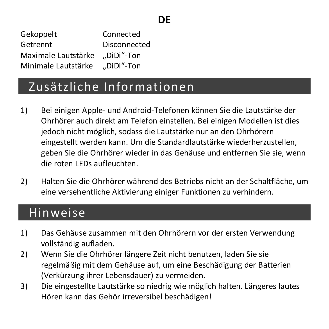Gekoppelt Connected Getrennt Disconnected Maximale Lautstärke DiDi"-Ton Minimale Lautstärke ... DiDi"-Ton

### Zusätzliche Informationen

- 1) Bei einigen Apple- und Android-Telefonen können Sie die Lautstärke der Ohrhörer auch direkt am Telefon einstellen. Bei einigen Modellen ist dies jedoch nicht möglich, sodass die Lautstärke nur an den Ohrhörern eingestellt werden kann. Um die Standardlautstärke wiederherzustellen, geben Sie die Ohrhörer wieder in das Gehäuse und entfernen Sie sie, wenn die roten LEDs aufleuchten.
- 2) Halten Sie die Ohrhörer während des Betriebs nicht an der Schaltfläche, um eine versehentliche Aktivierung einiger Funktionen zu verhindern.

#### Hinweise

- 1) Das Gehäuse zusammen mit den Ohrhörern vor der ersten Verwendung vollständig aufladen.
- 2) Wenn Sie die Ohrhörer längere Zeit nicht benutzen, laden Sie sie regelmäßig mit dem Gehäuse auf, um eine Beschädigung der Batterien (Verkürzung ihrer Lebensdauer) zu vermeiden.
- 3) Die eingestellte Lautstärke so niedrig wie möglich halten. Längeres lautes Hören kann das Gehör irreversibel beschädigen!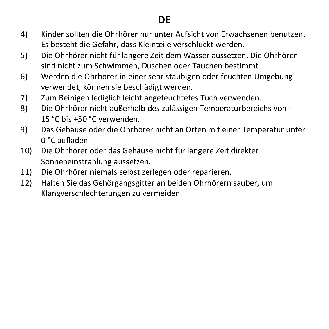### **DE**

- 4) Kinder sollten die Ohrhörer nur unter Aufsicht von Erwachsenen benutzen. Es besteht die Gefahr, dass Kleinteile verschluckt werden.
- 5) Die Ohrhörer nicht für längere Zeit dem Wasser aussetzen. Die Ohrhörer sind nicht zum Schwimmen, Duschen oder Tauchen bestimmt.
- 6) Werden die Ohrhörer in einer sehr staubigen oder feuchten Umgebung verwendet, können sie beschädigt werden.
- 7) Zum Reinigen lediglich leicht angefeuchtetes Tuch verwenden.
- 8) Die Ohrhörer nicht außerhalb des zulässigen Temperaturbereichs von 15 °C bis +50 °C verwenden.
- 9) Das Gehäuse oder die Ohrhörer nicht an Orten mit einer Temperatur unter 0 °C aufladen.
- 10) Die Ohrhörer oder das Gehäuse nicht für längere Zeit direkter Sonneneinstrahlung aussetzen.
- 11) Die Ohrhörer niemals selbst zerlegen oder reparieren.
- 12) Halten Sie das Gehörgangsgitter an beiden Ohrhörern sauber, um Klangverschlechterungen zu vermeiden.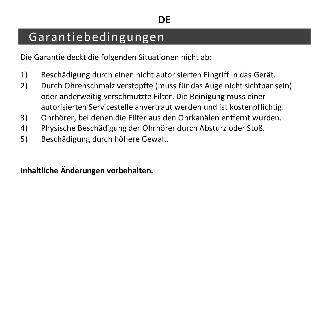### Garantiebedingungen

Die Garantie deckt die folgenden Situationen nicht ab:

- 1) Beschädigung durch einen nicht autorisierten Eingriff in das Gerät.
- 2) Durch Ohrenschmalz verstopfte (muss für das Auge nicht sichtbar sein) oder anderweitig verschmutzte Filter. Die Reinigung muss einer autorisierten Servicestelle anvertraut werden und ist kostenpflichtig.
- 3) Ohrhörer, bei denen die Filter aus den Ohrkanälen entfernt wurden.
- 4) Physische Beschädigung der Ohrhörer durch Absturz oder Stoß.
- 5) Beschädigung durch höhere Gewalt.

**Inhaltliche Änderungen vorbehalten.**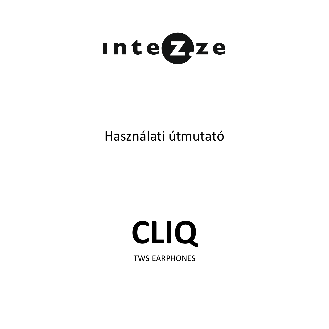

### Használati útmutató

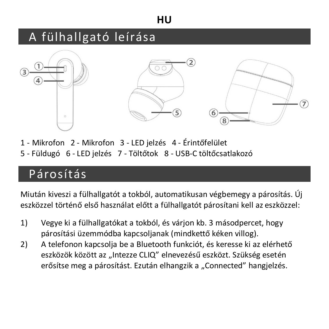### A fülhallgató leírása



1 - Mikrofon 2 - Mikrofon 3 - LED jelzés 4 - Érintőfelület 5 - Füldugó 6 - LED jelzés 7 - Töltőtok 8 - USB-C töltőcsatlakozó

### Párosítás

Miután kiveszi a fülhallgatót a tokból, automatikusan végbemegy a párosítás. Új eszközzel történő első használat előtt a fülhallgatót párosítani kell az eszközzel:

- 1) Vegye ki a fülhallgatókat a tokból, és várjon kb. 3 másodpercet, hogy párosítási üzemmódba kapcsoljanak (mindkettő kéken villog).
- 2) A telefonon kapcsolja be a Bluetooth funkciót, és keresse ki az elérhető eszközök között az "Intezze CLIO" elnevezésű eszközt. Szükség esetén erősítse meg a párosítást. Ezután elhangzik a "Connected" hangielzés.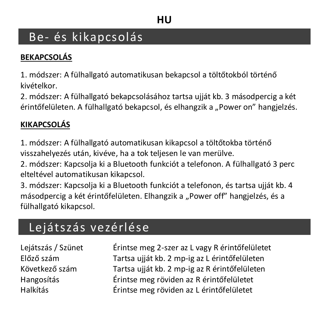### Be- és kikapcsolás

#### **BEKAPCSOLÁS**

1. módszer: A fülhallgató automatikusan bekapcsol a töltőtokból történő kivételkor.

2. módszer: A fülhallgató bekapcsolásához tartsa ujját kb. 3 másodpercig a két érintőfelületen. A fülhallgató bekapcsol, és elhangzik a "Power on" hangielzés.

#### **KIKAPCSOLÁS**

1. módszer: A fülhallgató automatikusan kikapcsol a töltőtokba történő visszahelyezés után, kivéve, ha a tok teljesen le van merülve.

2. módszer: Kapcsolja ki a Bluetooth funkciót a telefonon. A fülhallgató 3 perc elteltével automatikusan kikapcsol.

3. módszer: Kapcsolja ki a Bluetooth funkciót a telefonon, és tartsa ujját kb. 4 másodpercig a két érintőfelületen. Elhangzik a "Power off" hangielzés, és a fülhallgató kikapcsol.

### Lejátszás vezérlése

Lejátszás / Szünet Érintse meg 2-szer az L vagy R érintőfelületet Előző szám Tartsa ujját kb. 2 mp-ig az L érintőfelületen Tartsa ujját kb. 2 mp-ig az R érintőfelületen Hangosítás Érintse meg röviden az R érintőfelületet Halkítás Érintse meg röviden az L érintőfelületet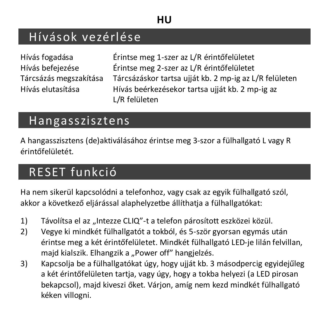### Hívások vezérlése

Hívás fogadása Érintse meg 1-szer az L/R érintőfelületet Hívás befejezése Érintse meg 2-szer az L/R érintőfelületet Tárcsázáskor tartsa ujját kb. 2 mp-ig az L/R felületen Hívás elutasítása Hívás beérkezésekor tartsa ujját kb. 2 mp-ig az L/R felületen

### Hangasszisztens

A hangasszisztens (de)aktiválásához érintse meg 3-szor a fülhallgató L vagy R érintőfelületét.

### RESET funkció

Ha nem sikerül kapcsolódni a telefonhoz, vagy csak az egyik fülhallgató szól, akkor a következő eljárással alaphelyzetbe állíthatja a fülhallgatókat:

- 1) Távolítsa el az "Intezze CLIQ"-t a telefon párosított eszközei közül.
- 2) Vegye ki mindkét fülhallgatót a tokból, és 5-ször gyorsan egymás után érintse meg a két érintőfelületet. Mindkét fülhallgató LED-je lilán felvillan, maid kialszik. Elhangzik a "Power off" hangielzés.
- 3) Kapcsolja be a fülhallgatókat úgy, hogy ujját kb. 3 másodpercig egyidejűleg a két érintőfelületen tartja, vagy úgy, hogy a tokba helyezi (a LED pirosan bekapcsol), majd kiveszi őket. Várjon, amíg nem kezd mindkét fülhallgató kéken villogni.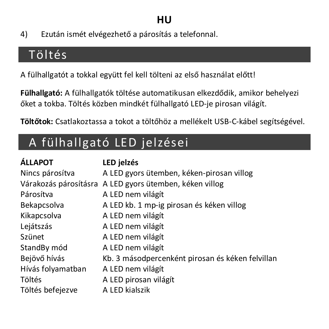4) Ezután ismét elvégezhető a párosítás a telefonnal.

### Töltés

A fülhallgatót a tokkal együtt fel kell tölteni az első használat előtt!

**Fülhallgató:** A fülhallgatók töltése automatikusan elkezdődik, amikor behelyezi őket a tokba. Töltés közben mindkét fülhallgató LED-je pirosan világít.

**Töltőtok:** Csatlakoztassa a tokot a töltőhöz a mellékelt USB-C-kábel segítségével.

### A fülhallgató LED jelzései

| <b>ÁLLAPOT</b>    | LED jelzés                                              |
|-------------------|---------------------------------------------------------|
| Nincs párosítva   | A LED gyors ütemben, kéken-pirosan villog               |
|                   | Várakozás párosításra A LED gyors ütemben, kéken villog |
| Párosítva         | A LED nem világít                                       |
| Bekapcsolva       | A LED kb. 1 mp-ig pirosan és kéken villog               |
| Kikapcsolva       | A LED nem világít                                       |
| Lejátszás         | A LED nem világít                                       |
| Szünet            | A LED nem világít                                       |
| StandBy mód       | A LED nem világít                                       |
| Bejövő hívás      | Kb. 3 másodpercenként pirosan és kéken felvillan        |
| Hívás folyamatban | A LED nem világít                                       |
| Töltés            | A LED pirosan világít                                   |
| Töltés befejezve  | A LED kialszik                                          |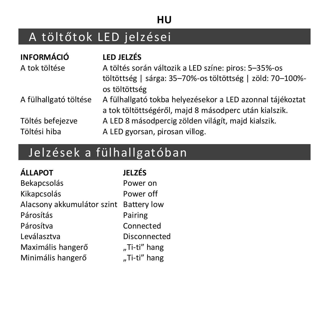### A töltőtok LED jelzései

| <b>INFORMÁCIÓ</b>                | <b>LED JELZÉS</b>                                                                                                                  |
|----------------------------------|------------------------------------------------------------------------------------------------------------------------------------|
| A tok töltése                    | A töltés során változik a LED színe: piros: 5-35%-os<br>töltöttség   sárga: 35-70%-os töltöttség   zöld: 70-100%-<br>os töltöttség |
| A fülhallgató töltése            | A fülhallgató tokba helyezésekor a LED azonnal tájékoztat<br>a tok töltöttségéről, majd 8 másodperc után kialszik.                 |
| Töltés befejezve<br>Töltési hiba | A LED 8 másodpercig zölden világít, majd kialszik.<br>A LED gyorsan, pirosan villog.                                               |

## Jelzések a fülhallgatóban

| <b>ÁLLAPOT</b>             | JELZÉS             |
|----------------------------|--------------------|
| Bekapcsolás                | Power on           |
| Kikapcsolás                | Power off          |
| Alacsony akkumulátor szint | <b>Battery low</b> |
| Párosítás                  | Pairing            |
| Párosítva                  | Connected          |
| Leválasztva                | Disconnected       |
| Maximális hangerő          | "Ti-ti" hang       |
| Minimális hangerő          | "Ti-ti" hang       |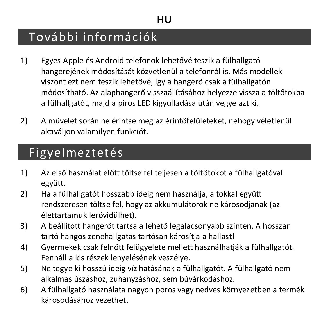### További információk

- 1) Egyes Apple és Android telefonok lehetővé teszik a fülhallgató hangerejének módosítását közvetlenül a telefonról is. Más modellek viszont ezt nem teszik lehetővé, így a hangerő csak a fülhallgatón módosítható. Az alaphangerő visszaállításához helyezze vissza a töltőtokba a fülhallgatót, majd a piros LED kigyulladása után vegye azt ki.
- 2) A művelet során ne érintse meg az érintőfelületeket, nehogy véletlenül aktiváljon valamilyen funkciót.

### Figyelmeztetés

- 1) Az első használat előtt töltse fel teljesen a töltőtokot a fülhallgatóval együtt.
- 2) Ha a fülhallgatót hosszabb ideig nem használja, a tokkal együtt rendszeresen töltse fel, hogy az akkumulátorok ne károsodjanak (az élettartamuk lerövidülhet).
- 3) A beállított hangerőt tartsa a lehető legalacsonyabb szinten. A hosszan tartó hangos zenehallgatás tartósan károsítja a hallást!
- 4) Gyermekek csak felnőtt felügyelete mellett használhatiák a fülhallgatót. Fennáll a kis részek lenyelésének veszélye.
- 5) Ne tegye ki hosszú ideig víz hatásának a fülhallgatót. A fülhallgató nem alkalmas úszáshoz, zuhanyzáshoz, sem búvárkodáshoz.
- 6) A fülhallgató használata nagyon poros vagy nedves környezetben a termék károsodásához vezethet.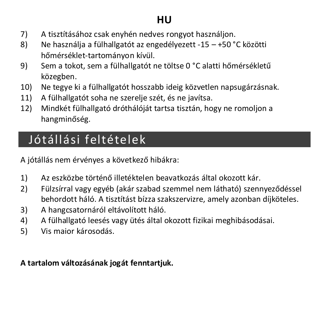- 7) A tisztításához csak enyhén nedves rongyot használjon.
- 8) Ne használja a fülhallgatót az engedélyezett -15 +50 °C közötti hőmérséklet-tartományon kívül.
- 9) Sem a tokot, sem a fülhallgatót ne töltse 0 °C alatti hőmérsékletű közegben.
- 10) Ne tegye ki a fülhallgatót hosszabb ideig közvetlen napsugárzásnak.
- 11) A fülhallgatót soha ne szerelje szét, és ne javítsa.
- 12) Mindkét fülhallgató dróthálóját tartsa tisztán, hogy ne romoljon a hangminőség.

### Jótállási feltételek

A jótállás nem érvényes a következő hibákra:

- 1) Az eszközbe történő illetéktelen beavatkozás által okozott kár.
- 2) Fülzsírral vagy egyéb (akár szabad szemmel nem látható) szennyeződéssel behordott háló. A tisztítást bízza szakszervizre, amely azonban díjköteles.
- 3) A hangcsatornáról eltávolított háló.
- 4) A fülhallgató leesés vagy ütés által okozott fizikai meghibásodásai.
- 5) Vis maior károsodás.

#### **A tartalom változásának jogát fenntartjuk.**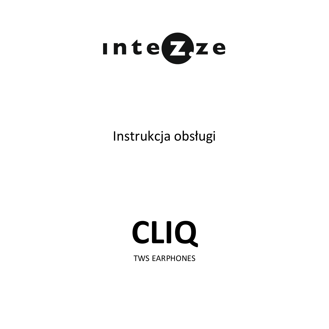

### Instrukcja obsługi

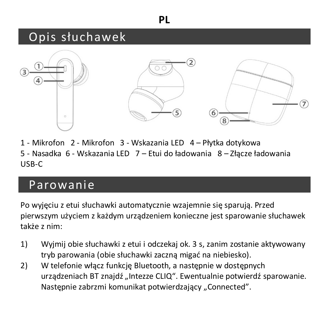#### **PL**

### Opis słuchawek



1 - Mikrofon 2 - Mikrofon 3 - Wskazania LED 4 – Płytka dotykowa 5 - Nasadka 6 - Wskazania LED 7 – Etui do ładowania 8 – Złącze ładowania USB-C

### Parowanie

Po wyjęciu z etui słuchawki automatycznie wzajemnie się sparują. Przed pierwszym użyciem z każdym urządzeniem konieczne jest sparowanie słuchawek także z nim:

- 1) Wyjmij obie słuchawki z etui i odczekaj ok. 3 s, zanim zostanie aktywowany tryb parowania (obie słuchawki zaczną migać na niebiesko).
- 2) W telefonie włącz funkcję Bluetooth, a następnie w dostępnych urządzeniach BT znajdź "Intezze CLIQ". Ewentualnie potwierdź sparowanie. Nastepnie zabrzmi komunikat potwierdzający "Connected".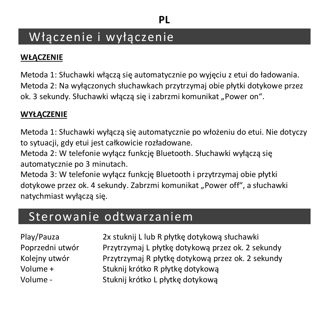### Włączenie i wyłączenie

#### **WŁĄCZENIE**

Metoda 1: Słuchawki włączą się automatycznie po wyjęciu z etui do ładowania. Metoda 2: Na wyłączonych słuchawkach przytrzymaj obie płytki dotykowe przez ok. 3 sekundy. Słuchawki włączą się i zabrzmi komunikat "Power on".

#### **WYŁĄCZENIE**

Metoda 1: Słuchawki wyłączą się automatycznie po włożeniu do etui. Nie dotyczy to sytuacji, gdy etui jest całkowicie rozładowane.

Metoda 2: W telefonie wyłacz funkcie Bluetooth. Słuchawki wyłacza się automatycznie po 3 minutach.

Metoda 3: W telefonie wyłącz funkcję Bluetooth i przytrzymaj obie płytki dotykowe przez ok. 4 sekundy. Zabrzmi komunikat "Power off", a słuchawki natychmiast wyłączą się.

### Sterowanie odtwarzaniem

| Play/Pauza      | 2x stuknij L lub R płytkę dotykową słuchawki      |
|-----------------|---------------------------------------------------|
| Poprzedni utwór | Przytrzymaj L płytkę dotykową przez ok. 2 sekundy |
| Koleiny utwór   | Przytrzymaj R płytkę dotykową przez ok. 2 sekundy |
| Volume +        | Stuknij krótko R płytkę dotykową                  |
| Volume -        | Stuknij krótko L płytkę dotykową                  |
|                 |                                                   |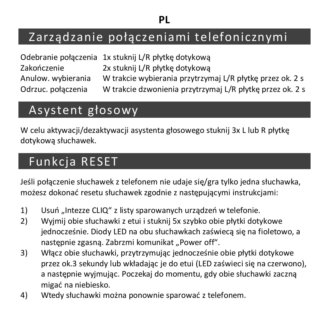### Zarządzanie połączeniami telefonicznymi

|                    | Odebranie połączenia 1x stuknij L/R płytkę dotykową       |
|--------------------|-----------------------------------------------------------|
| Zakończenie        | 2x stuknij L/R płytkę dotykową                            |
| Anulow, wybierania | W trakcie wybierania przytrzymaj L/R płytkę przez ok. 2 s |
| Odrzuc, połaczenia | W trakcie dzwonienia przytrzymaj L/R płytkę przez ok. 2 s |

### Asystent głosowy

W celu aktywacji/dezaktywacji asystenta głosowego stuknij 3x Llub R płytkę dotykową słuchawek.

### Funkcja RESET

Jeśli połączenie słuchawek z telefonem nie udaje się/gra tylko jedna słuchawka, możesz dokonać resetu słuchawek zgodnie z następującymi instrukcjami:

- 1) Usuń "Intezze CLIQ" z listy sparowanych urządzeń w telefonie.
- 2) Wyjmij obie słuchawki z etui i stuknij 5x szybko obie płytki dotykowe jednocześnie. Diody LED na obu słuchawkach zaświecą się na fioletowo, a nastepnie zgasną. Zabrzmi komunikat "Power off".
- 3) Włącz obie słuchawki, przytrzymując jednocześnie obie płytki dotykowe przez ok.3 sekundy lub wkładając je do etui (LED zaświeci się na czerwono), a następnie wyjmując. Poczekaj do momentu, gdy obie słuchawki zaczną migać na niebiesko.
- 4) Wtedy słuchawki można ponownie sparować z telefonem.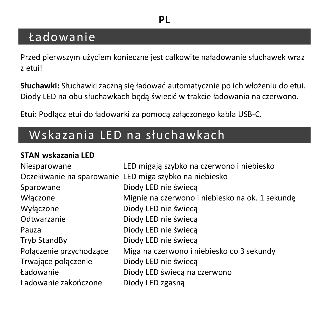### **PL**

### Ładowanie

Przed pierwszym użyciem konieczne jest całkowite naładowanie słuchawek wraz z etui!

**Słuchawki:** Słuchawki zaczną się ładować automatycznie po ich włożeniu do etui. Diody LED na obu słuchawkach będą świecić w trakcie ładowania na czerwono.

**Etui:** Podłącz etui do ładowarki za pomocą załączonego kabla USB-C.

### Wskazania LED na słuchawkach

#### **STAN wskazania LED**

| Niesparowane            | LED migają szybko na czerwono i niebiesko              |
|-------------------------|--------------------------------------------------------|
|                         | Oczekiwanie na sparowanie LED miga szybko na niebiesko |
| Sparowane               | Diody LED nie świeca                                   |
| Włączone                | Mignie na czerwono i niebiesko na ok. 1 sekunde        |
| Wyłączone               | Diody LED nie świeca                                   |
| Odtwarzanie             | Diody LED nie świeca                                   |
| Pauza                   | Diody LED nie świeca                                   |
| <b>Tryb StandBy</b>     | Diody LED nie świeca                                   |
| Połączenie przychodzące | Miga na czerwono i niebiesko co 3 sekundy              |
| Trwające połączenie     | Diody LED nie świeca                                   |
| Ładowanie               | Diody LED świecą na czerwono                           |
| Ładowanie zakończone    | Diody LED zgasną                                       |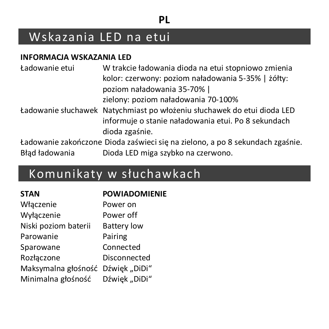#### **PL**

### Wskazania LED na etui

#### **INFORMACJA WSKAZANIA LED**

| Ładowanie etui | W trakcie ładowania dioda na etui stopniowo zmienia<br>kolor: czerwony: poziom naładowania 5-35%   żółty: |
|----------------|-----------------------------------------------------------------------------------------------------------|
|                | poziom naładowania 35-70% l                                                                               |
|                | zielony: poziom naładowania 70-100%                                                                       |
|                | Ładowanie słuchawek Natychmiast po włożeniu słuchawek do etui dioda LED                                   |
|                | informuje o stanie naładowania etui. Po 8 sekundach<br>dioda zgaśnie.                                     |
|                | Ładowanie zakończone Dioda zaświeci się na zielono, a po 8 sekundach zgaśnie.                             |
| Bład ładowania | Dioda LED miga szybko na czerwono.                                                                        |

### Komunikaty w słuchawkach

| <b>STAN</b>                       | <b>POWIADOMIENIE</b> |
|-----------------------------------|----------------------|
| Włączenie                         | Power on             |
| Wyłaczenie                        | Power off            |
| Niski poziom baterii              | <b>Battery low</b>   |
| Parowanie                         | Pairing              |
| Sparowane                         | Connected            |
| Rozłączone                        | Disconnected         |
| Maksymalna głośność Dźwięk "DiDi" |                      |
| Minimalna głośność                | Dźwięk "DiDi"        |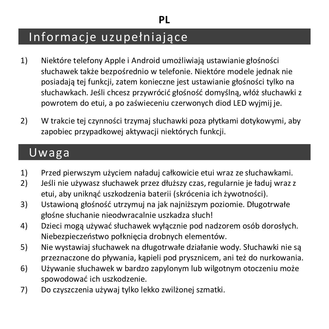### Informacje uzupełniające

- 1) Niektóre telefony Apple i Android umożliwiają ustawianie głośności słuchawek także bezpośrednio w telefonie. Niektóre modele jednak nie posiadają tej funkcji, zatem konieczne jest ustawianie głośności tylko na słuchawkach. Jeśli chcesz przywrócić głośność domyślną, włóż słuchawki z powrotem do etui, a po zaświeceniu czerwonych diod LED wyjmij je.
- 2) W trakcie tej czynności trzymaj słuchawki poza płytkami dotykowymi, aby zapobiec przypadkowej aktywacji niektórych funkcji.

### Uwaga

- 1) Przed pierwszym użyciem naładuj całkowicie etui wraz ze słuchawkami.
- 2) Jeśli nie używasz słuchawek przez dłuższy czas, regularnie je ładuj wraz z etui, aby uniknąć uszkodzenia baterii (skrócenia ich żywotności).
- 3) Ustawioną głośność utrzymuj na jak najniższym poziomie. Długotrwałe głośne słuchanie nieodwracalnie uszkadza słuch!
- 4) Dzieci mogą używać słuchawek wyłącznie pod nadzorem osób dorosłych. Niebezpieczeństwo połknięcia drobnych elementów.
- 5) Nie wystawiaj słuchawek na długotrwałe działanie wody. Słuchawki nie są przeznaczone do pływania, kąpieli pod prysznicem, ani też do nurkowania.
- 6) Używanie słuchawek w bardzo zapylonym lub wilgotnym otoczeniu może spowodować ich uszkodzenie.
- 7) Do czyszczenia używaj tylko lekko zwilżonej szmatki.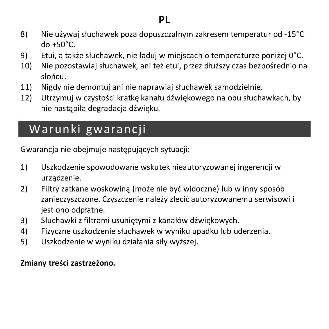#### **PL**

- 8) Nie używaj słuchawek poza dopuszczalnym zakresem temperatur od -15°C do +50°C.
- 9) Etui, a także słuchawek, nie ładuj w miejscach o temperaturze poniżej 0°C.
- 10) Nie pozostawiaj słuchawek, ani też etui, przez dłuższy czas bezpośrednio na słońcu.
- 11) Nigdy nie demontuj ani nie naprawiaj słuchawek samodzielnie.
- 12) Utrzymuj w czystości kratkę kanału dźwiękowego na obu słuchawkach, by nie nastąpiła degradacja dźwięku.

### Warunki gwarancji

Gwarancja nie obejmuje następujących sytuacji:

- 1) Uszkodzenie spowodowane wskutek nieautoryzowanej ingerencji w urządzenie.
- 2) Filtry zatkane woskowiną (może nie być widoczne) lub w inny sposób zanieczyszczone. Czyszczenie należy zlecić autoryzowanemu serwisowi i iest ono odpłatne.
- 3) Słuchawki z filtrami usuniętymi z kanałów dźwiękowych.
- 4) Fizyczne uszkodzenie słuchawek w wyniku upadku lub uderzenia.
- 5) Uszkodzenie w wyniku działania siły wyższej.

#### **Zmiany treści zastrzeżono.**